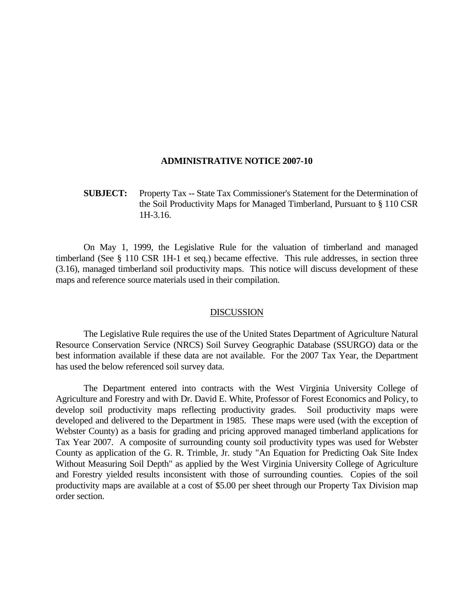## **ADMINISTRATIVE NOTICE 2007-10**

## **SUBJECT:** Property Tax -- State Tax Commissioner's Statement for the Determination of the Soil Productivity Maps for Managed Timberland, Pursuant to § 110 CSR 1H-3.16.

 On May 1, 1999, the Legislative Rule for the valuation of timberland and managed timberland (See § 110 CSR 1H-1 et seq.) became effective. This rule addresses, in section three (3.16), managed timberland soil productivity maps. This notice will discuss development of these maps and reference source materials used in their compilation.

## DISCUSSION

 The Legislative Rule requires the use of the United States Department of Agriculture Natural Resource Conservation Service (NRCS) Soil Survey Geographic Database (SSURGO) data or the best information available if these data are not available. For the 2007 Tax Year, the Department has used the below referenced soil survey data.

 The Department entered into contracts with the West Virginia University College of Agriculture and Forestry and with Dr. David E. White, Professor of Forest Economics and Policy, to develop soil productivity maps reflecting productivity grades. Soil productivity maps were developed and delivered to the Department in 1985. These maps were used (with the exception of Webster County) as a basis for grading and pricing approved managed timberland applications for Tax Year 2007. A composite of surrounding county soil productivity types was used for Webster County as application of the G. R. Trimble, Jr. study "An Equation for Predicting Oak Site Index Without Measuring Soil Depth" as applied by the West Virginia University College of Agriculture and Forestry yielded results inconsistent with those of surrounding counties. Copies of the soil productivity maps are available at a cost of \$5.00 per sheet through our Property Tax Division map order section.